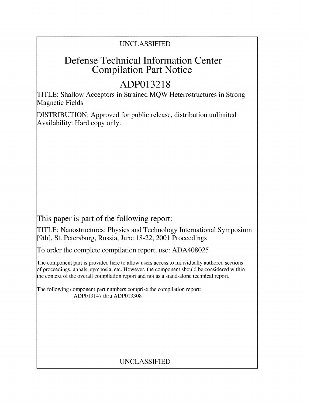## UNCLASSIFIED

# Defense Technical Information Center Compilation Part Notice

# **ADP013218**

TITLE: Shallow Acceptors in Strained MQW Heterostructures in Strong Magnetic Fields

DISTRIBUTION: Approved for public release, distribution unlimited Availability: Hard copy only.

This paper is part of the following report:

TITLE: Nanostructures: Physics and Technology International Symposium [9th], St. Petersburg, Russia, June 18-22, 2001 Proceedings

To order the complete compilation report, use: ADA408025

The component part is provided here to allow users access to individually authored sections f proceedings, annals, symposia, etc. However, the component should be considered within the context of the overall compilation report and not as a stand-alone technical report.

The following component part numbers comprise the compilation report: ADP013147 thru ADP013308

# UNCLASSIFIED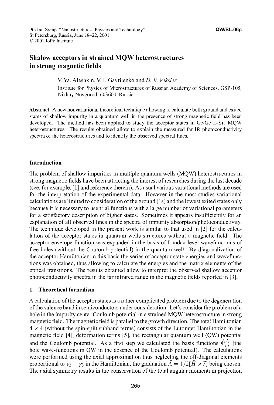## Shalow acceptors in strained MQW heterostructures in strong magnetic fields

V. Ya. Aleshkin, V. I. Gavrilenko and *D. B. Veksler*

Institute for Physics of Microstructures of Russian Academy of Sciences, GSP-105, Nizhny Novgorod, 603600, Russia.

Abstract. **A** new nonvariational theoretical technique allowing to calculate both ground and exited states of shallow impurity in a quantum well in the presence of strong magnetic field has been developed. The method has been applied to study the acceptor states in  $Ge/Ge_{1-x}Si_x$  MQW heterostructures. The results obtained allow to explain the measured far IR photoconductivity spectra of the heterostructures and to identify the observed spectral lines.

### Introduction

The problem of shallow impurities in multiple quantum wells (MQW) heterostructures in strong magnetic fields have been attracting the interest of researches during the last decade (see, for example, [1 **]** and reference therein). As usual various variational methods are used for the interpretation of the experimental data. However in the most studies variational calculations are limited to consideration of the ground (Is) and the lowest exited states only because it is necessary to use trial functions with a large number of variational parameters for a satisfactory description of higher states. Sometimes it appears insufficiently for an explanation of all observed lines in the spectra of impurity absorption/photoconductivity. The technique developed in the present work is similar to that used in [2] for the calculation of the acceptor states in quantum wells structures without a magnetic field. The acceptor envelope function was expanded in the basis of Landau level wavefunctions of free holes (without the Coulomb potential) in the quantum well. By diagonalization of the acceptor Hamiltonian in this basis the series of acceptor state energies and wavefunctions was obtained, thus allowing to calculate the energies and the matrix elements of the optical transitions. The results obtained allow to interpret the observed shallow acceptor photoconductivity spectra in the far infrared range in the magnetic fields reported in **[3].**

### 1. Theoretical formalism

A calculation of the acceptor states is a rather complicated problem due to the degeneration of the valence band in semiconductors under consideration. Let's consider the problem of a hole in the impurity center Coulomb potential in a strained MQW heterostructure in strong magnetic field. The magnetic field is parallel to the growth direction. The total Hamiltonian  $4 \times 4$  (without the spin-split subband terms) consists of the Luttinger Hamiltonian in the magnetic field [4], deformation terms [5], the rectangular quantum well (QW) potential and the Coulomb potential. As a first step we calculated the basis functions  $\vec{\Psi}^{J_z}_{i}$  (the hole wave-functions in QW in the absence of the Coulomb potential). The calculations were performed using the axial approximation thus neglecting the off-diagonal elements proportional to  $\gamma_2 - \gamma_3$  in the Hamiltonian, the graduation  $A = 1/2[H \times \vec{r}]$  being chosen. The axial symmetry results in the conservation of the total angular momentum projection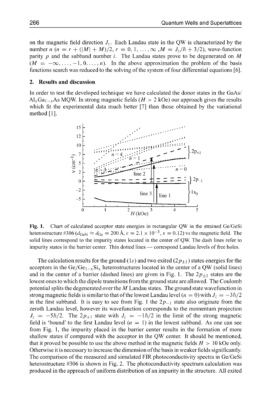on the magnetic field direction  $J_z$ . Each Landau state in the QW is characterized by the number *n*  $(n = r + (|M| + M)/2, r = 0, 1, ..., \infty, M = J_z/\hbar + 3/2)$ , wave-function parity p and the subband number i. The Landau states prove to be degenerated on  $M$  $(M = -\infty, \ldots, -1, 0, \ldots, n)$ . In the above approximation the problem of the basis functions search was reduced to the solving of the system of four differential equations **[6].**

#### 2. Results and discussion

In order to test the developed technique we have calculated the donor states in the GaAs/  $\text{Al}_x\text{Ga}_{1-x}\text{As}$  MQW. In strong magnetic fields ( $H > 2$  kOe) our approach gives the results which fit the experimental data much better **[7]** than those obtained by the variational method **[1].**



Fig. **1.** Chart of calculated acceptor state energies in rectangular QW in the strained Ge/GeSi heterostructure #306 ( $d_{\text{GeSi}} \approx d_{\text{Ge}} = 200 \text{ Å}, \epsilon = 2.1 \times 10^{-3}, x = 0.12$ ) vs the magnetic field. The solid lines correspond to the impurity states located in the center of QW. The dash lines refer to impurity states in the barrier center. Thin dotted lines **-** correspond Landau levels of free holes.

The calculation results for the ground (1s) and two exited  $(2p_{\pm 1})$  states energies for the acceptors in the Ge/Ge<sub>1-x</sub>Si<sub>x</sub> heterostructures located in the center of a QW (solid lines) and in the center of a barrier (dashed lines) are given in Fig. 1. The  $2p_{\pm 1}$  states are the lowest ones to which the dipole transitions from the ground state are allowed. The Coulomb potential splits the degenerated over the M Landau states. The ground state wavefunction in strong magnetic fields is similar to that of the lowest Landau level  $(n = 0)$  with  $J_z = -3\hbar/2$ in the first subband. It is easy to see from Fig. 1 the  $2p_{-1}$  state also originate from the zeroth Landau level, however its wavefunction corresponds to the momentum projection  $J_z = -5\hbar/2$ . The  $2p_{+1}$  state with  $J_z = -1\hbar/2$  in the limit of the strong magnetic field is 'bound' to the first Landau level  $(n = 1)$  in the lowest subband. As one can see from Fig. 1, the impurity placed in the barrier center results in the formation of more shallow states if compared with the acceptor in the QW center. It should be mentioned, that it proved be possible to use the above method in the magnetic fields  $H > 10$  kOe only. Otherwise it is necessary to increase the dimension of the basis in weaker fields significantly. The comparison of the measured and simulated FIR photoconductivity spectra in Ge/GeSi heterostructure #306 is shown in Fig. 2. The photoconductivity spectrum calculation was produced in the approach of uniform distribution of an impurity in the structure. All exited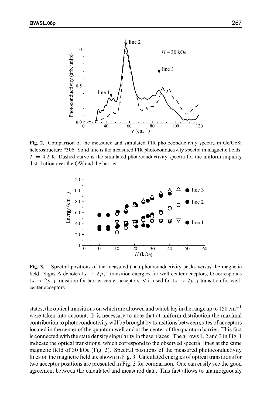

Fig. 2. Comparison of the measured and simulated FIR photoconductivity spectra in Ge/GeSi heterostructure #306. Solid line is the measured FIR photoconductivity spectra in magnetic fields.  $T = 4.2$  K. Dashed curve is the simulated photoconductivity spectra for the uniform impurity distribution over the QW and the barrier.



Fig. 3. Spectral positions of the measured ( **\*** ) photoconductivity peaks versus the magnetic field. Signs  $\Delta$  denotes  $1s \rightarrow 2p_{+1}$  transition energies for well-center acceptors, O corresponds  $1s \rightarrow 2p_{+1}$  transition for barrier-center acceptors,  $\nabla$  is used for  $1s \rightarrow 2p_{-1}$  transition for wellcenter acceptors.

states, the optical transitions on which are allowed and which lay in the range up to 150 cm<sup>-1</sup> were taken into account. It is necessary to note that at uniform distribution the maximal contribution to photoconductivity will be brought by transitions between states of acceptors located in the center of the quantum well and at the center of the quantum barrier. This fact is connected with the state density singularity in these places. The arrows 1, 2 and 3 in Fig. 1 indicate the optical transitions, which correspond to the observed spectral lines at the same magnetic field of 30 kOe (Fig. 2). Spectral positions of the measured photoconductivity lines on the magnetic field are shown in Fig. 3. Calculated energies of optical transitions for two acceptor positions are presented in Fig. 3 for comparison. One can easily see the good agreement between the calculated and measured data. This fact allows to unambiguously